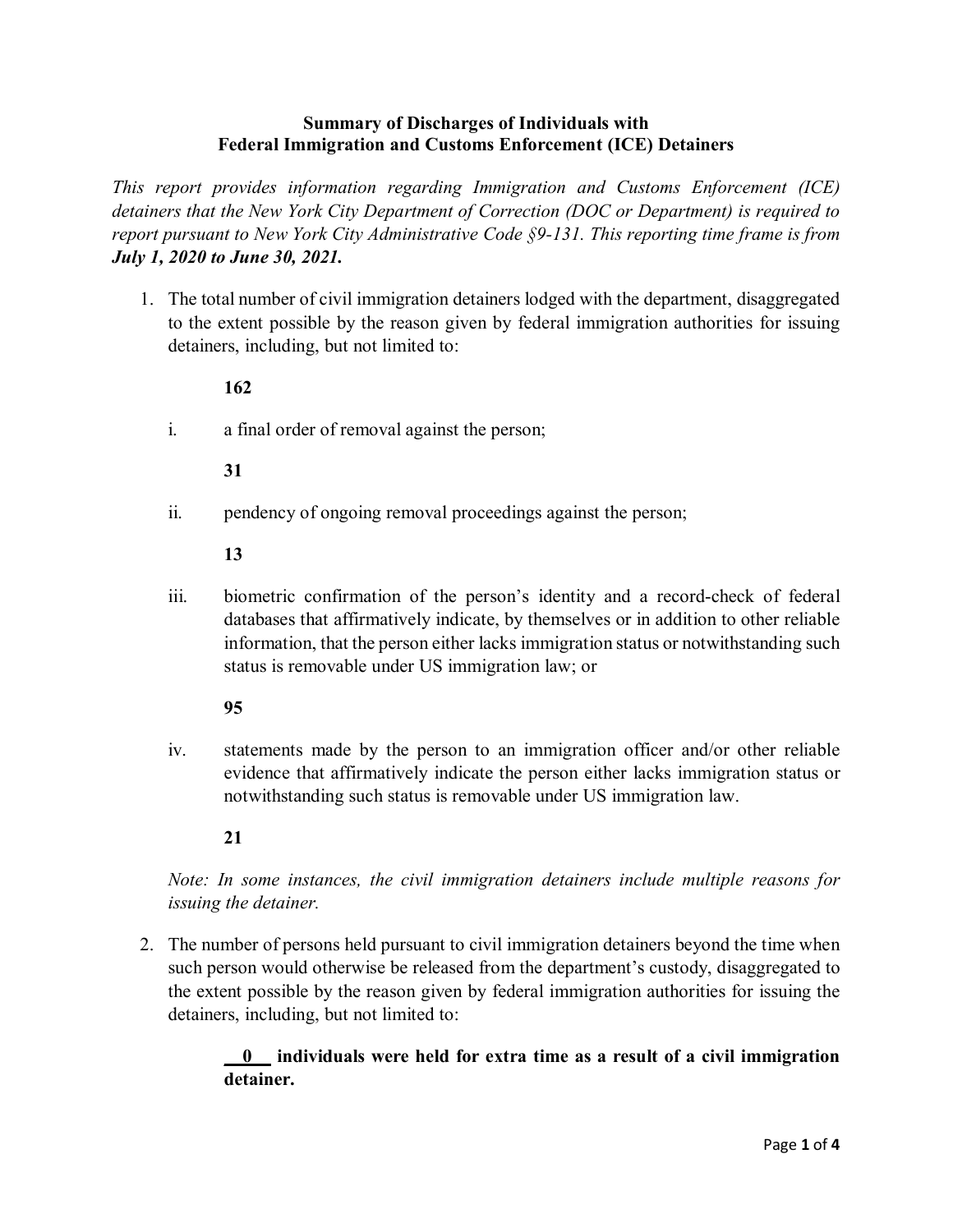#### **Summary of Discharges of Individuals with Federal Immigration and Customs Enforcement (ICE) Detainers**

*This report provides information regarding Immigration and Customs Enforcement (ICE) detainers that the New York City Department of Correction (DOC or Department) is required to report pursuant to New York City Administrative Code §9-131. This reporting time frame is from July 1, 2020 to June 30, 2021.*

1. The total number of civil immigration detainers lodged with the department, disaggregated to the extent possible by the reason given by federal immigration authorities for issuing detainers, including, but not limited to:

## **162**

i. a final order of removal against the person;

## **31**

ii. pendency of ongoing removal proceedings against the person;

## **13**

iii. biometric confirmation of the person's identity and a record-check of federal databases that affirmatively indicate, by themselves or in addition to other reliable information, that the person either lacks immigration status or notwithstanding such status is removable under US immigration law; or

#### **95**

iv. statements made by the person to an immigration officer and/or other reliable evidence that affirmatively indicate the person either lacks immigration status or notwithstanding such status is removable under US immigration law.

## **21**

*Note: In some instances, the civil immigration detainers include multiple reasons for issuing the detainer.*

2. The number of persons held pursuant to civil immigration detainers beyond the time when such person would otherwise be released from the department's custody, disaggregated to the extent possible by the reason given by federal immigration authorities for issuing the detainers, including, but not limited to:

> **\_\_0\_\_ individuals were held for extra time as a result of a civil immigration detainer.**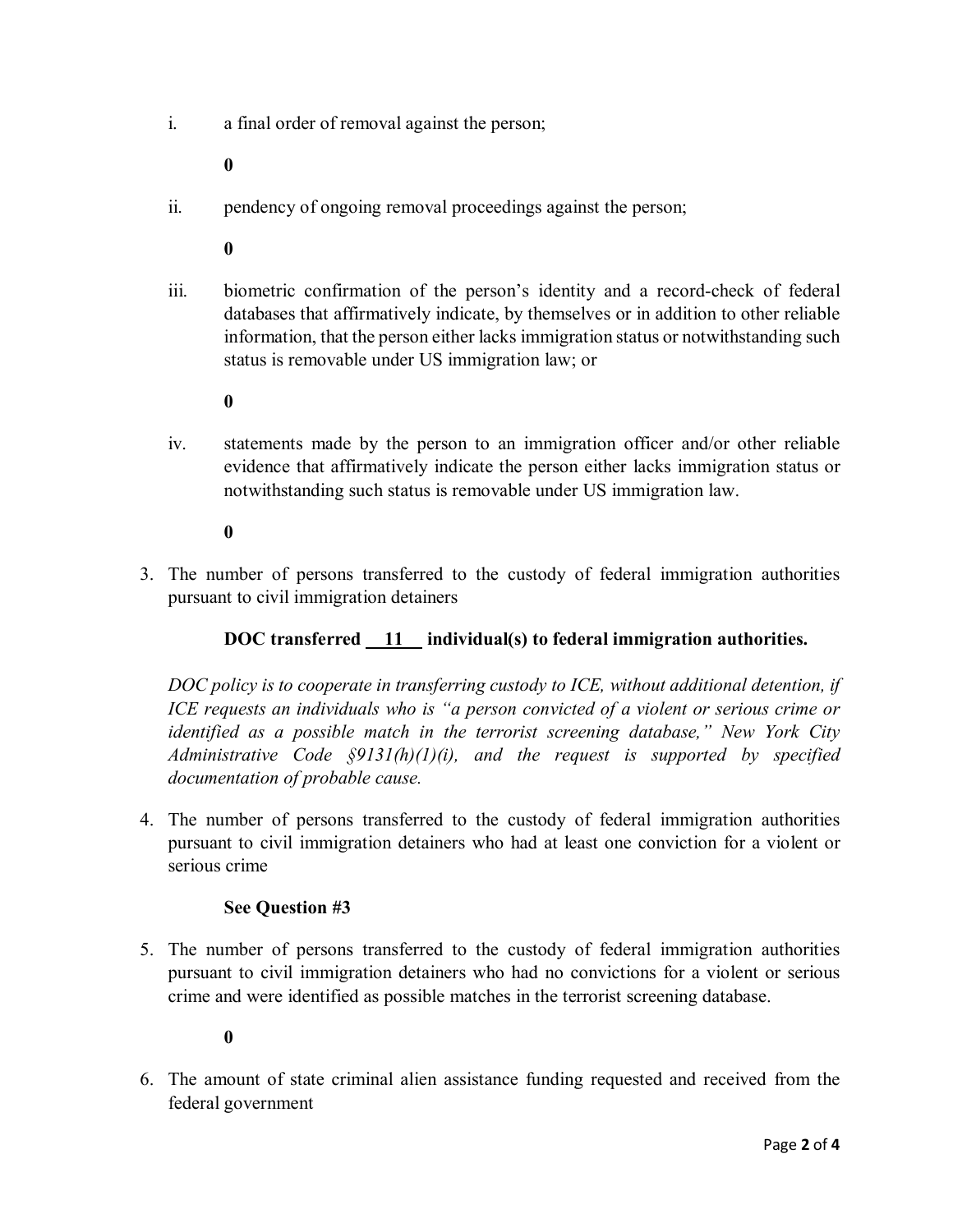- i. a final order of removal against the person;
	- **0**
- ii. pendency of ongoing removal proceedings against the person;
	- **0**
- iii. biometric confirmation of the person's identity and a record-check of federal databases that affirmatively indicate, by themselves or in addition to other reliable information, that the person either lacks immigration status or notwithstanding such status is removable under US immigration law; or
	- **0**
- iv. statements made by the person to an immigration officer and/or other reliable evidence that affirmatively indicate the person either lacks immigration status or notwithstanding such status is removable under US immigration law.
	- **0**
- 3. The number of persons transferred to the custody of federal immigration authorities pursuant to civil immigration detainers

## **DOC transferred \_\_11 individual(s) to federal immigration authorities.**

*DOC policy is to cooperate in transferring custody to ICE, without additional detention, if ICE requests an individuals who is "a person convicted of a violent or serious crime or identified as a possible match in the terrorist screening database," New York City Administrative Code §9131(h)(1)(i), and the request is supported by specified documentation of probable cause.*

4. The number of persons transferred to the custody of federal immigration authorities pursuant to civil immigration detainers who had at least one conviction for a violent or serious crime

## **See Question #3**

5. The number of persons transferred to the custody of federal immigration authorities pursuant to civil immigration detainers who had no convictions for a violent or serious crime and were identified as possible matches in the terrorist screening database.

**0**

6. The amount of state criminal alien assistance funding requested and received from the federal government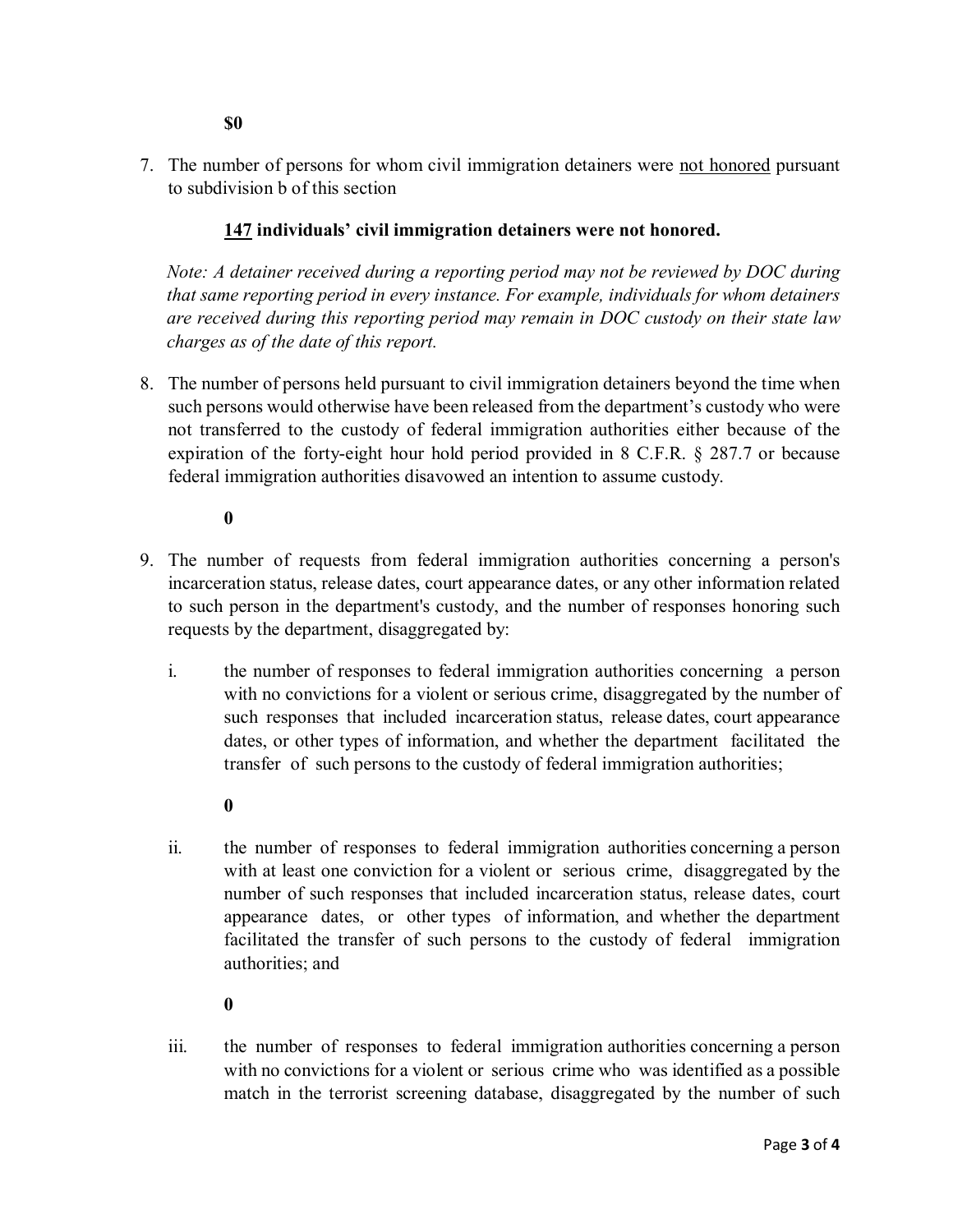7. The number of persons for whom civil immigration detainers were not honored pursuant to subdivision b of this section

# **147 individuals' civil immigration detainers were not honored.**

*Note: A detainer received during a reporting period may not be reviewed by DOC during that same reporting period in every instance. For example, individuals for whom detainers are received during this reporting period may remain in DOC custody on their state law charges as of the date of this report.* 

- 8. The number of persons held pursuant to civil immigration detainers beyond the time when such persons would otherwise have been released from the department's custody who were not transferred to the custody of federal immigration authorities either because of the expiration of the forty-eight hour hold period provided in 8 C.F.R. § 287.7 or because federal immigration authorities disavowed an intention to assume custody.
	- **0**
- 9. The number of requests from federal immigration authorities concerning a person's incarceration status, release dates, court appearance dates, or any other information related to such person in the department's custody, and the number of responses honoring such requests by the department, disaggregated by:
	- i. the number of responses to federal immigration authorities concerning a person with no convictions for a violent or serious crime, disaggregated by the number of such responses that included incarceration status, release dates, court appearance dates, or other types of information, and whether the department facilitated the transfer of such persons to the custody of federal immigration authorities;
		- **0**
	- ii. the number of responses to federal immigration authorities concerning a person with at least one conviction for a violent or serious crime, disaggregated by the number of such responses that included incarceration status, release dates, court appearance dates, or other types of information, and whether the department facilitated the transfer of such persons to the custody of federal immigration authorities; and
		- **0**
	- iii. the number of responses to federal immigration authorities concerning a person with no convictions for a violent or serious crime who was identified as a possible match in the terrorist screening database, disaggregated by the number of such